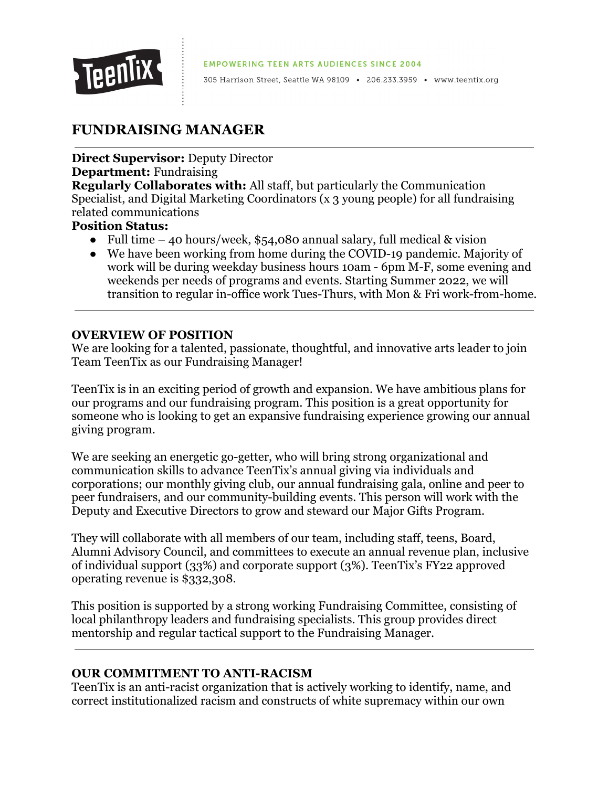

**EMPOWERING TEEN ARTS AUDIENCES SINCE 2004** 

305 Harrison Street, Seattle WA 98109 . 206.233.3959 . www.teentix.org

# **FUNDRAISING MANAGER**

**Direct Supervisor:** Deputy Director

### **Department:** Fundraising

**Regularly Collaborates with:** All staff, but particularly the Communication Specialist, and Digital Marketing Coordinators (x 3 young people) for all fundraising related communications

# **Position Status:**

- Full time 40 hours/week, \$54,080 annual salary, full medical  $\&$  vision
- We have been working from home during the COVID-19 pandemic. Majority of work will be during weekday business hours 10am - 6pm M-F, some evening and weekends per needs of programs and events. Starting Summer 2022, we will transition to regular in-office work Tues-Thurs, with Mon & Fri work-from-home.

# **OVERVIEW OF POSITION**

We are looking for a talented, passionate, thoughtful, and innovative arts leader to join Team TeenTix as our Fundraising Manager!

TeenTix is in an exciting period of growth and expansion. We have ambitious plans for our programs and our fundraising program. This position is a great opportunity for someone who is looking to get an expansive fundraising experience growing our annual giving program.

We are seeking an energetic go-getter, who will bring strong organizational and communication skills to advance TeenTix's annual giving via individuals and corporations; our monthly giving club, our annual fundraising gala, online and peer to peer fundraisers, and our community-building events. This person will work with the Deputy and Executive Directors to grow and steward our Major Gifts Program.

They will collaborate with all members of our team, including staff, teens, Board, Alumni Advisory Council, and committees to execute an annual revenue plan, inclusive of individual support (33%) and corporate support (3%). TeenTix's FY22 approved operating revenue is \$332,308.

This position is supported by a strong working Fundraising Committee, consisting of local philanthropy leaders and fundraising specialists. This group provides direct mentorship and regular tactical support to the Fundraising Manager.

# **OUR COMMITMENT TO ANTI-RACISM**

TeenTix is an anti-racist organization that is actively working to identify, name, and correct institutionalized racism and constructs of white supremacy within our own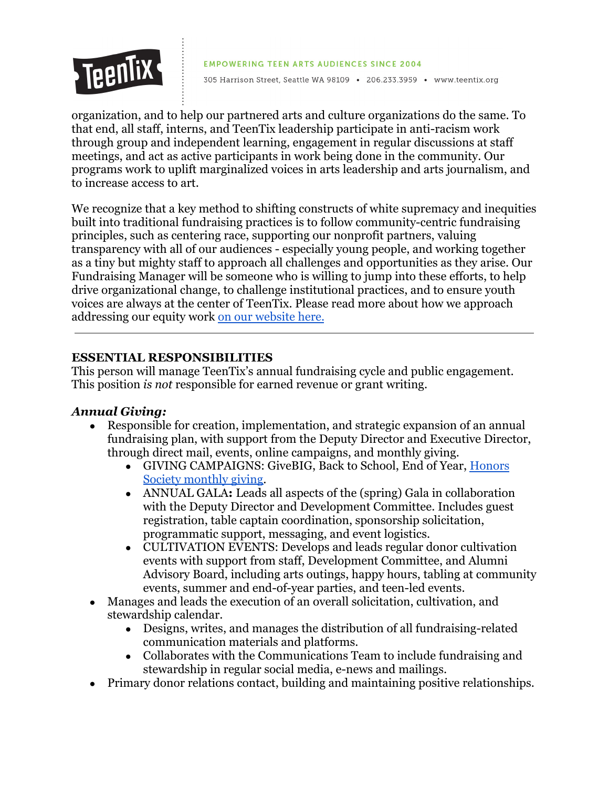

#### **EMPOWERING TEEN ARTS AUDIENCES SINCE 2004**

305 Harrison Street, Seattle WA 98109 . 206.233.3959 . www.teentix.org

organization, and to help our partnered arts and culture organizations do the same. To that end, all staff, interns, and TeenTix leadership participate in anti-racism work through group and independent learning, engagement in regular discussions at staff meetings, and act as active participants in work being done in the community. Our programs work to uplift marginalized voices in arts leadership and arts journalism, and to increase access to art.

We recognize that a key method to shifting constructs of white supremacy and inequities built into traditional fundraising practices is to follow community-centric fundraising principles, such as centering race, supporting our nonprofit partners, valuing transparency with all of our audiences - especially young people, and working together as a tiny but mighty staff to approach all challenges and opportunities as they arise. Our Fundraising Manager will be someone who is willing to jump into these efforts, to help drive organizational change, to challenge institutional practices, and to ensure youth voices are always at the center of TeenTix. Please read more about how we approach addressing our equity work [on our website here.](https://www.teentix.org/about)

#### **ESSENTIAL RESPONSIBILITIES**

This person will manage TeenTix's annual fundraising cycle and public engagement. This position *is not* responsible for earned revenue or grant writing.

#### *Annual Giving:*

- **●** Responsible for creation, implementation, and strategic expansion of an annual fundraising plan, with support from the Deputy Director and Executive Director, through direct mail, events, online campaigns, and monthly giving.
	- GIVING CAMPAIGNS: GiveBIG, Back to School, End of Year, [Honors](https://www.teentix.org/teentix-honor-society) [Society monthly giving.](https://www.teentix.org/teentix-honor-society)
	- ANNUAL GALA**:** Leads all aspects of the (spring) Gala in collaboration with the Deputy Director and Development Committee. Includes guest registration, table captain coordination, sponsorship solicitation, programmatic support, messaging, and event logistics.
	- CULTIVATION EVENTS: Develops and leads regular donor cultivation events with support from staff, Development Committee, and Alumni Advisory Board, including arts outings, happy hours, tabling at community events, summer and end-of-year parties, and teen-led events.
- Manages and leads the execution of an overall solicitation, cultivation, and stewardship calendar.
	- Designs, writes, and manages the distribution of all fundraising-related communication materials and platforms.
	- Collaborates with the Communications Team to include fundraising and stewardship in regular social media, e-news and mailings.
- **●** Primary donor relations contact, building and maintaining positive relationships.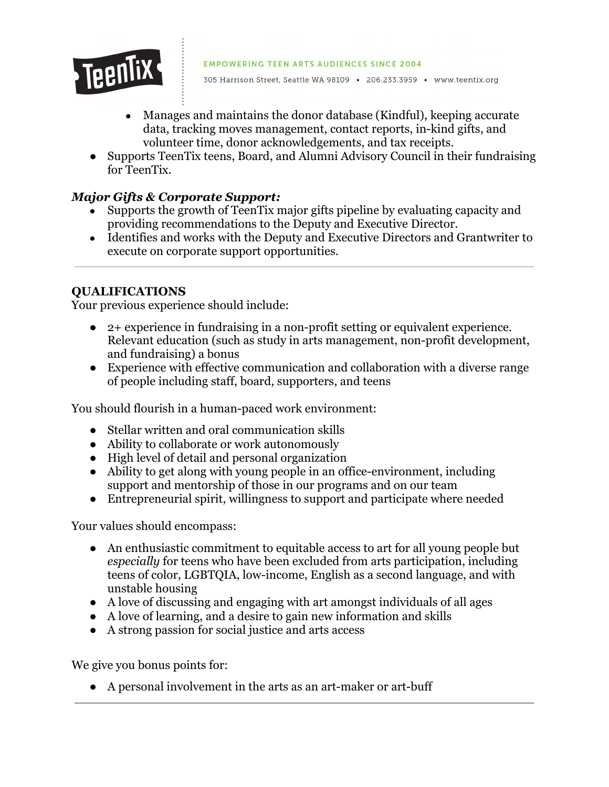

305 Harrison Street, Seattle WA 98109 . 206.233.3959 . www.teentix.org

- **●** Manages and maintains the donor database (Kindful), keeping accurate data, tracking moves management, contact reports, in-kind gifts, and volunteer time, donor acknowledgements, and tax receipts.
- Supports TeenTix teens, Board, and Alumni Advisory Council in their fundraising for TeenTix.

### *Major Gifts & Corporate Support:*

- **●** Supports the growth of TeenTix major gifts pipeline by evaluating capacity and providing recommendations to the Deputy and Executive Director.
- **●** Identifies and works with the Deputy and Executive Directors and Grantwriter to execute on corporate support opportunities.

# **QUALIFICATIONS**

Your previous experience should include:

- 2+ experience in fundraising in a non-profit setting or equivalent experience. Relevant education (such as study in arts management, non-profit development, and fundraising) a bonus
- Experience with effective communication and collaboration with a diverse range of people including staff, board, supporters, and teens

You should flourish in a human-paced work environment:

- Stellar written and oral communication skills
- Ability to collaborate or work autonomously
- High level of detail and personal organization
- Ability to get along with young people in an office-environment, including support and mentorship of those in our programs and on our team
- Entrepreneurial spirit, willingness to support and participate where needed

Your values should encompass:

- An enthusiastic commitment to equitable access to art for all young people but *especially* for teens who have been excluded from arts participation, including teens of color, LGBTQIA, low-income, English as a second language, and with unstable housing
- A love of discussing and engaging with art amongst individuals of all ages
- A love of learning, and a desire to gain new information and skills
- A strong passion for social justice and arts access

We give you bonus points for:

● A personal involvement in the arts as an art-maker or art-buff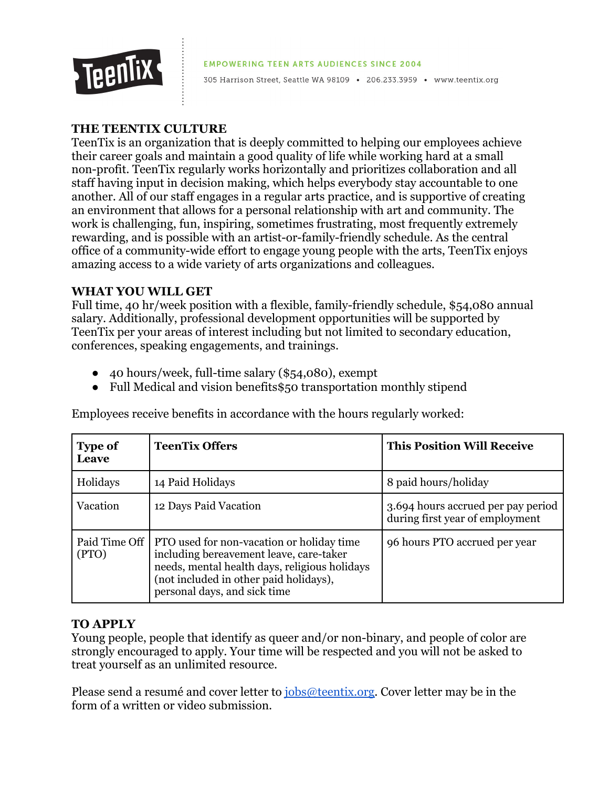

## **THE TEENTIX CULTURE**

TeenTix is an organization that is deeply committed to helping our employees achieve their career goals and maintain a good quality of life while working hard at a small non-profit. TeenTix regularly works horizontally and prioritizes collaboration and all staff having input in decision making, which helps everybody stay accountable to one another. All of our staff engages in a regular arts practice, and is supportive of creating an environment that allows for a personal relationship with art and community. The work is challenging, fun, inspiring, sometimes frustrating, most frequently extremely rewarding, and is possible with an artist-or-family-friendly schedule. As the central office of a community-wide effort to engage young people with the arts, TeenTix enjoys amazing access to a wide variety of arts organizations and colleagues.

#### **WHAT YOU WILL GET**

Full time, 40 hr/week position with a flexible, family-friendly schedule, \$54,080 annual salary. Additionally, professional development opportunities will be supported by TeenTix per your areas of interest including but not limited to secondary education, conferences, speaking engagements, and trainings.

- 40 hours/week, full-time salary (\$54,080), exempt
- Full Medical and vision benefits \$50 transportation monthly stipend

| <b>Type of</b><br><b>Leave</b> | <b>TeenTix Offers</b>                                                                                                                                                                                           | <b>This Position Will Receive</b>                                     |
|--------------------------------|-----------------------------------------------------------------------------------------------------------------------------------------------------------------------------------------------------------------|-----------------------------------------------------------------------|
| Holidays                       | 14 Paid Holidays                                                                                                                                                                                                | 8 paid hours/holiday                                                  |
| Vacation                       | 12 Days Paid Vacation                                                                                                                                                                                           | 3.694 hours accrued per pay period<br>during first year of employment |
| Paid Time Off<br>(PTO)         | PTO used for non-vacation or holiday time<br>including bereavement leave, care-taker<br>needs, mental health days, religious holidays<br>(not included in other paid holidays),<br>personal days, and sick time | 96 hours PTO accrued per year                                         |

Employees receive benefits in accordance with the hours regularly worked:

#### **TO APPLY**

Young people, people that identify as queer and/or non-binary, and people of color are strongly encouraged to apply. Your time will be respected and you will not be asked to treat yourself as an unlimited resource.

Please send a resumé and cover letter to [jobs@teentix.org.](mailto:jobs@teentix.org) Cover letter may be in the form of a written or video submission.